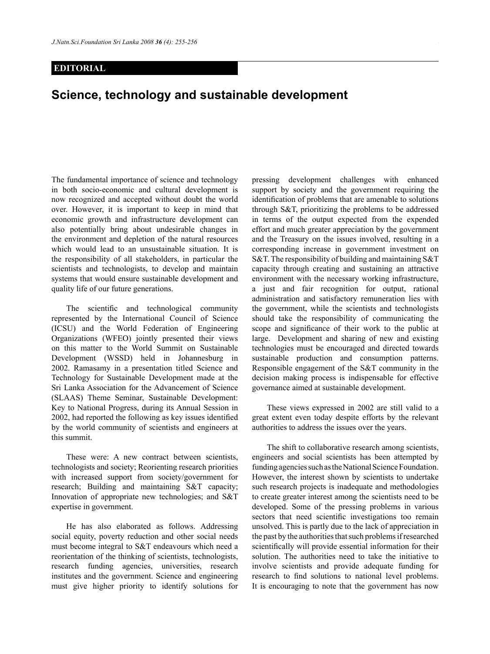## **EDITORIAL**

## **Science, technology and sustainable development**

The fundamental importance of science and technology in both socio-economic and cultural development is now recognized and accepted without doubt the world over. However, it is important to keep in mind that economic growth and infrastructure development can also potentially bring about undesirable changes in the environment and depletion of the natural resources which would lead to an unsustainable situation. It is the responsibility of all stakeholders, in particular the scientists and technologists, to develop and maintain systems that would ensure sustainable development and quality life of our future generations.

 The scientific and technological community represented by the International Council of Science (ICSU) and the World Federation of Engineering Organizations (WFEO) jointly presented their views on this matter to the World Summit on Sustainable Development (WSSD) held in Johannesburg in 2002. Ramasamy in a presentation titled Science and Technology for Sustainable Development made at the Sri Lanka Association for the Advancement of Science (SLAAS) Theme Seminar, Sustainable Development: Key to National Progress, during its Annual Session in 2002, had reported the following as key issues identified by the world community of scientists and engineers at this summit.

These were: A new contract between scientists, technologists and society; Reorienting research priorities with increased support from society/government for research; Building and maintaining S&T capacity; Innovation of appropriate new technologies; and S&T expertise in government.

He has also elaborated as follows. Addressing social equity, poverty reduction and other social needs must become integral to S&T endeavours which need a reorientation of the thinking of scientists, technologists, research funding agencies, universities, research institutes and the government. Science and engineering must give higher priority to identify solutions for pressing development challenges with enhanced support by society and the government requiring the identification of problems that are amenable to solutions through S&T, prioritizing the problems to be addressed in terms of the output expected from the expended effort and much greater appreciation by the government and the Treasury on the issues involved, resulting in a corresponding increase in government investment on S&T. The responsibility of building and maintaining S&T capacity through creating and sustaining an attractive environment with the necessary working infrastructure, a just and fair recognition for output, rational administration and satisfactory remuneration lies with the government, while the scientists and technologists should take the responsibility of communicating the scope and significance of their work to the public at large. Development and sharing of new and existing technologies must be encouraged and directed towards sustainable production and consumption patterns. Responsible engagement of the S&T community in the decision making process is indispensable for effective governance aimed at sustainable development.

These views expressed in 2002 are still valid to a great extent even today despite efforts by the relevant authorities to address the issues over the years.

The shift to collaborative research among scientists, engineers and social scientists has been attempted by funding agencies such as the National Science Foundation. However, the interest shown by scientists to undertake such research projects is inadequate and methodologies to create greater interest among the scientists need to be developed. Some of the pressing problems in various sectors that need scientific investigations too remain unsolved. This is partly due to the lack of appreciation in the past by the authorities that such problems if researched scientifically will provide essential information for their solution. The authorities need to take the initiative to involve scientists and provide adequate funding for research to find solutions to national level problems. It is encouraging to note that the government has now